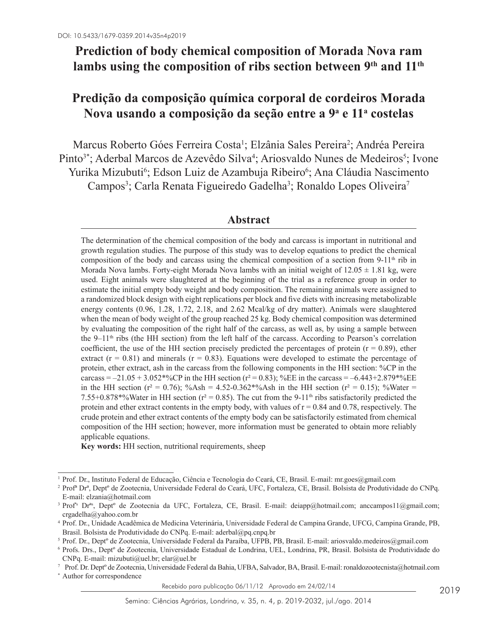# **Prediction of body chemical composition of Morada Nova ram**  lambs using the composition of ribs section between 9<sup>th</sup> and 11<sup>th</sup>

# **Predição da composição química corporal de cordeiros Morada Nova usando a composição da seção entre a 9a e 11a costelas**

Marcus Roberto Góes Ferreira Costa<sup>1</sup>; Elzânia Sales Pereira<sup>2</sup>; Andréa Pereira Pinto<sup>3\*</sup>; Aderbal Marcos de Azevêdo Silva<sup>4</sup>; Ariosvaldo Nunes de Medeiros<sup>5</sup>; Ivone Yurika Mizubuti<sup>6</sup>; Edson Luiz de Azambuja Ribeiro<sup>6</sup>; Ana Cláudia Nascimento Campos<sup>3</sup>; Carla Renata Figueiredo Gadelha<sup>3</sup>; Ronaldo Lopes Oliveira<sup>7</sup>

# **Abstract**

The determination of the chemical composition of the body and carcass is important in nutritional and growth regulation studies. The purpose of this study was to develop equations to predict the chemical composition of the body and carcass using the chemical composition of a section from 9-11<sup>th</sup> rib in Morada Nova lambs. Forty-eight Morada Nova lambs with an initial weight of  $12.05 \pm 1.81$  kg, were used. Eight animals were slaughtered at the beginning of the trial as a reference group in order to estimate the initial empty body weight and body composition. The remaining animals were assigned to a randomized block design with eight replications per block and five diets with increasing metabolizable energy contents (0.96, 1.28, 1.72, 2.18, and 2.62 Mcal/kg of dry matter). Animals were slaughtered when the mean of body weight of the group reached 25 kg. Body chemical composition was determined by evaluating the composition of the right half of the carcass, as well as, by using a sample between the  $9-11<sup>th</sup>$  ribs (the HH section) from the left half of the carcass. According to Pearson's correlation coefficient, the use of the HH section precisely predicted the percentages of protein  $(r = 0.89)$ , ether extract ( $r = 0.81$ ) and minerals ( $r = 0.83$ ). Equations were developed to estimate the percentage of protein, ether extract, ash in the carcass from the following components in the HH section: %CP in the carcass =  $-21.05 + 3.052*%$ CP in the HH section ( $r^2 = 0.83$ ); %EE in the carcass =  $-6.443+2.879*%$ EE in the HH section ( $r^2 = 0.76$ ); %Ash = 4.52-0.362\*%Ash in the HH section ( $r^2 = 0.15$ ); %Water = 7.55+0.878\*%Water in HH section ( $r^2 = 0.85$ ). The cut from the 9-11<sup>th</sup> ribs satisfactorily predicted the protein and ether extract contents in the empty body, with values of  $r = 0.84$  and 0.78, respectively. The crude protein and ether extract contents of the empty body can be satisfactorily estimated from chemical composition of the HH section; however, more information must be generated to obtain more reliably applicable equations.

**Key words:** HH section, nutritional requirements, sheep

<sup>1</sup> Prof. Dr., Instituto Federal de Educação, Ciência e Tecnologia do Ceará, CE, Brasil. E-mail: mr.goes@gmail.com

<sup>2</sup> Profª Drª, Deptº de Zootecnia, Universidade Federal do Ceará, UFC, Fortaleza, CE, Brasil. Bolsista de Produtividade do CNPq. E-mail: elzania@hotmail.com

<sup>&</sup>lt;sup>3</sup> Prof<sup>\*</sup>s Dr<sup>as</sup>, Dept<sup>o</sup> de Zootecnia da UFC, Fortaleza, CE, Brasil. E-mail: deiapp@hotmail.com; anccampos11@gmail.com; crgadelha@yahoo.com.br

<sup>4</sup> Prof. Dr., Unidade Acadêmica de Medicina Veterinária, Universidade Federal de Campina Grande, UFCG, Campina Grande, PB, Brasil. Bolsista de Produtividade do CNPq. E-mail: aderbal@pq.cnpq.br

<sup>5</sup> Prof. Dr., Deptº de Zootecnia, Universidade Federal da Paraíba, UFPB, PB, Brasil. E-mail: ariosvaldo.medeiros@gmail.com

<sup>6</sup> Profs. Drs., Deptº de Zootecnia, Universidade Estadual de Londrina, UEL, Londrina, PR, Brasil. Bolsista de Produtividade do CNPq. E-mail: mizubuti@uel.br; elar@uel.br

<sup>7</sup> Prof. Dr. Deptº de Zootecnia, Universidade Federal da Bahia, UFBA, Salvador, BA, Brasil. E-mail: ronaldozootecnista@hotmail.com

<sup>\*</sup> Author for correspondence

Recebido para publicação 06/11/12 Aprovado em 24/02/14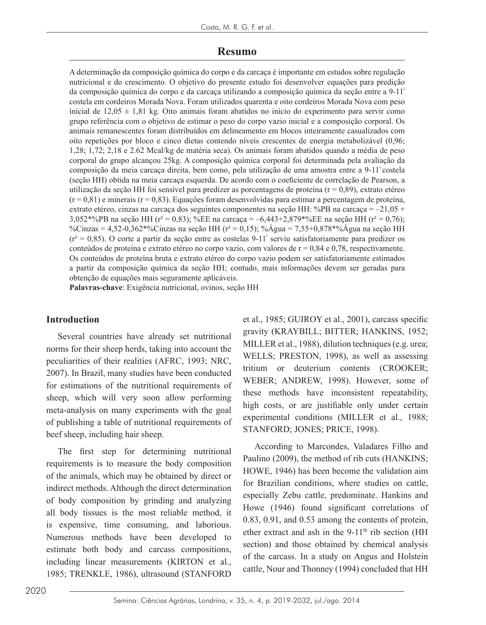# **Resumo**

A determinação da composição química do corpo e da carcaça é importante em estudos sobre regulação nutricional e do crescimento. O objetivo do presente estudo foi desenvolver equações para predição da composição química do corpo e da carcaça utilizando a composição química da seção entre a 9-11ª costela em cordeiros Morada Nova. Foram utilizados quarenta e oito cordeiros Morada Nova com peso inicial de 12,05  $\pm$  1,81 kg. Oito animais foram abatidos no início do experimento para servir como grupo referência com o objetivo de estimar o peso do corpo vazio inicial e a composição corporal. Os animais remanescentes foram distribuídos em delineamento em blocos inteiramente casualizados com oito repetições por bloco e cinco dietas contendo níveis crescentes de energia metabolizável (0,96; 1,28; 1,72; 2,18 e 2.62 Mcal/kg de matéria seca). Os animais foram abatidos quando a média de peso corporal do grupo alcançou 25kg. A composição química corporal foi determinada pela avaliação da composição da meia carcaça direita, bem como, pela utilização de uma amostra entre a 9-11ª costela (seção HH) obtida na meia carcaça esquerda. De acordo com o coeficiente de correlação de Pearson, a utilização da seção HH foi sensível para predizer as porcentagens de proteína (r = 0,89), extrato etéreo  $(r = 0.81)$  e minerais  $(r = 0.83)$ . Equações foram desenvolvidas para estimar a percentagem de proteína, extrato etéreo, cinzas na carcaça dos seguintes componentes na seção HH: %PB na carcaça =  $-21.05 +$ 3,052\*%PB na seção HH ( $r^2 = 0.83$ ); %EE na carcaca = -6,443+2,879\*%EE na seção HH ( $r^2 = 0.76$ ); %Cinzas = 4,52-0,362\*%Cinzas na seção HH ( $r^2$  = 0,15); % $\angle$ Agua = 7,55+0,878\*%Agua na seção HH  $(r^2 = 0.85)$ . O corte a partir da seção entre as costelas 9-11<sup>e</sup> serviu satisfatoriamente para predizer os conteúdos de proteína e extrato etéreo no corpo vazio, com valores de  $r = 0.84$  e 0.78, respectivamente. Os conteúdos de proteína bruta e extrato etéreo do corpo vazio podem ser satisfatoriamente estimados a partir da composição química da seção HH; contudo, mais informações devem ser geradas para obtenção de equações mais seguramente aplicáveis.

**Palavras-chave**: Exigência nutricional, ovinos, seção HH

## **Introduction**

Several countries have already set nutritional norms for their sheep herds, taking into account the peculiarities of their realities (AFRC, 1993; NRC, 2007). In Brazil, many studies have been conducted for estimations of the nutritional requirements of sheep, which will very soon allow performing meta-analysis on many experiments with the goal of publishing a table of nutritional requirements of beef sheep, including hair sheep.

The first step for determining nutritional requirements is to measure the body composition of the animals, which may be obtained by direct or indirect methods. Although the direct determination of body composition by grinding and analyzing all body tissues is the most reliable method, it is expensive, time consuming, and laborious. Numerous methods have been developed to estimate both body and carcass compositions, including linear measurements (KIRTON et al., 1985; TRENKLE, 1986), ultrasound (STANFORD

et al., 1985; GUIROY et al., 2001), carcass specific gravity (KRAYBILL; BITTER; HANKINS, 1952; MILLER et al., 1988), dilution techniques (e.g. urea; WELLS; PRESTON, 1998), as well as assessing tritium or deuterium contents (CROOKER; WEBER; ANDREW, 1998). However, some of these methods have inconsistent repeatability, high costs, or are justifiable only under certain experimental conditions (MILLER et al., 1988; STANFORD; JONES; PRICE, 1998).

According to Marcondes, Valadares Filho and Paulino (2009), the method of rib cuts (HANKINS; HOWE, 1946) has been become the validation aim for Brazilian conditions, where studies on cattle, especially Zebu cattle, predominate. Hankins and Howe (1946) found significant correlations of 0.83, 0.91, and 0.53 among the contents of protein, ether extract and ash in the  $9-11<sup>th</sup>$  rib section (HH section) and those obtained by chemical analysis of the carcass. In a study on Angus and Holstein cattle, Nour and Thonney (1994) concluded that HH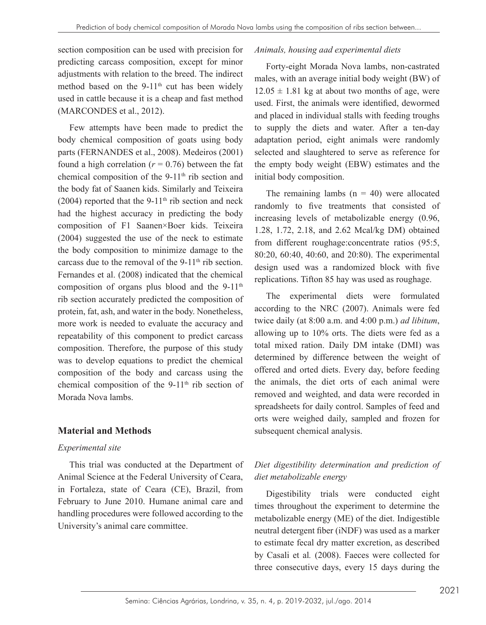section composition can be used with precision for predicting carcass composition, except for minor adjustments with relation to the breed. The indirect method based on the 9-11<sup>th</sup> cut has been widely used in cattle because it is a cheap and fast method (MARCONDES et al., 2012).

Few attempts have been made to predict the body chemical composition of goats using body parts (FERNANDES et al., 2008). Medeiros (2001) found a high correlation  $(r = 0.76)$  between the fat chemical composition of the 9-11<sup>th</sup> rib section and the body fat of Saanen kids. Similarly and Teixeira (2004) reported that the 9-11<sup>th</sup> rib section and neck had the highest accuracy in predicting the body composition of F1 Saanen×Boer kids. Teixeira (2004) suggested the use of the neck to estimate the body composition to minimize damage to the carcass due to the removal of the  $9-11<sup>th</sup>$  rib section. Fernandes et al. (2008) indicated that the chemical composition of organs plus blood and the  $9-11<sup>th</sup>$ rib section accurately predicted the composition of protein, fat, ash, and water in the body. Nonetheless, more work is needed to evaluate the accuracy and repeatability of this component to predict carcass composition. Therefore, the purpose of this study was to develop equations to predict the chemical composition of the body and carcass using the chemical composition of the 9-11<sup>th</sup> rib section of Morada Nova lambs.

## **Material and Methods**

#### *Experimental site*

This trial was conducted at the Department of Animal Science at the Federal University of Ceara, in Fortaleza, state of Ceara (CE), Brazil, from February to June 2010. Humane animal care and handling procedures were followed according to the University's animal care committee.

### *Animals, housing aad experimental diets*

Forty-eight Morada Nova lambs, non-castrated males, with an average initial body weight (BW) of  $12.05 \pm 1.81$  kg at about two months of age, were used. First, the animals were identified, dewormed and placed in individual stalls with feeding troughs to supply the diets and water. After a ten-day adaptation period, eight animals were randomly selected and slaughtered to serve as reference for the empty body weight (EBW) estimates and the initial body composition.

The remaining lambs  $(n = 40)$  were allocated randomly to five treatments that consisted of increasing levels of metabolizable energy (0.96, 1.28, 1.72, 2.18, and 2.62 Mcal/kg DM) obtained from different roughage:concentrate ratios (95:5, 80:20, 60:40, 40:60, and 20:80). The experimental design used was a randomized block with five replications. Tifton 85 hay was used as roughage.

The experimental diets were formulated according to the NRC (2007). Animals were fed twice daily (at 8:00 a.m. and 4:00 p.m.) *ad libitum*, allowing up to 10% orts. The diets were fed as a total mixed ration. Daily DM intake (DMI) was determined by difference between the weight of offered and orted diets. Every day, before feeding the animals, the diet orts of each animal were removed and weighted, and data were recorded in spreadsheets for daily control. Samples of feed and orts were weighed daily, sampled and frozen for subsequent chemical analysis.

# *Diet digestibility determination and prediction of diet metabolizable energy*

Digestibility trials were conducted eight times throughout the experiment to determine the metabolizable energy (ME) of the diet. Indigestible neutral detergent fiber (iNDF) was used as a marker to estimate fecal dry matter excretion, as described by Casali et al*.* (2008). Faeces were collected for three consecutive days, every 15 days during the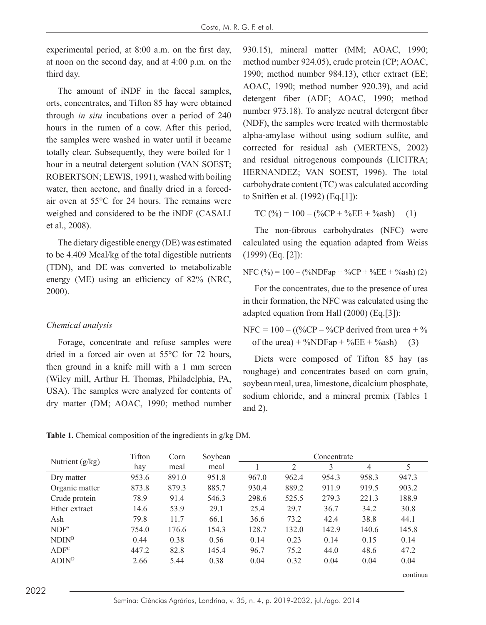experimental period, at 8:00 a.m. on the first day, at noon on the second day, and at 4:00 p.m. on the third day.

The amount of iNDF in the faecal samples, orts, concentrates, and Tifton 85 hay were obtained through *in situ* incubations over a period of 240 hours in the rumen of a cow. After this period, the samples were washed in water until it became totally clear. Subsequently, they were boiled for 1 hour in a neutral detergent solution (VAN SOEST; ROBERTSON; LEWIS, 1991), washed with boiling water, then acetone, and finally dried in a forcedair oven at 55°C for 24 hours. The remains were weighed and considered to be the iNDF (CASALI et al., 2008).

The dietary digestible energy (DE) was estimated to be 4.409 Mcal/kg of the total digestible nutrients (TDN), and DE was converted to metabolizable energy (ME) using an efficiency of 82% (NRC, 2000).

#### *Chemical analysis*

Forage, concentrate and refuse samples were dried in a forced air oven at 55°C for 72 hours, then ground in a knife mill with a 1 mm screen (Wiley mill, Arthur H. Thomas, Philadelphia, PA, USA). The samples were analyzed for contents of dry matter (DM; AOAC, 1990; method number

930.15), mineral matter (MM; AOAC, 1990; method number 924.05), crude protein (CP; AOAC, 1990; method number 984.13), ether extract (EE; AOAC, 1990; method number 920.39), and acid detergent fiber (ADF; AOAC, 1990; method number 973.18). To analyze neutral detergent fiber (NDF), the samples were treated with thermostable alpha-amylase without using sodium sulfite, and corrected for residual ash (MERTENS, 2002) and residual nitrogenous compounds (LICITRA; HERNANDEZ; VAN SOEST, 1996). The total carbohydrate content (TC) was calculated according to Sniffen et al. (1992) (Eq.[1]):

$$
TC (\%) = 100 - (\%CP + \%EE + \%ash)
$$
 (1)

The non-fibrous carbohydrates (NFC) were calculated using the equation adapted from Weiss (1999) (Eq. [2]):

$$
NFC (\%) = 100 - (\%NDFap + \%CP + \%EE + \%ash)(2)
$$

For the concentrates, due to the presence of urea in their formation, the NFC was calculated using the adapted equation from Hall (2000) (Eq.[3]):

$$
NFC = 100 - ((%CP - %CP derived from 100 + 9)°
$$
  
of the 100 + %NDFap + %EE + %ash) (3)

Diets were composed of Tifton 85 hay (as roughage) and concentrates based on corn grain, soybean meal, urea, limestone, dicalcium phosphate, sodium chloride, and a mineral premix (Tables 1 and 2).

|                          | Tifton | Corn  | Soybean |       |       | Concentrate |       |          |
|--------------------------|--------|-------|---------|-------|-------|-------------|-------|----------|
| Nutrient $(g/kg)$        | hay    | meal  | meal    |       | 2     | 3           | 4     | 5        |
| Dry matter               | 953.6  | 891.0 | 951.8   | 967.0 | 962.4 | 954.3       | 958.3 | 947.3    |
| Organic matter           | 873.8  | 879.3 | 885.7   | 930.4 | 889.2 | 911.9       | 919.5 | 903.2    |
| Crude protein            | 78.9   | 91.4  | 546.3   | 298.6 | 525.5 | 279.3       | 221.3 | 188.9    |
| Ether extract            | 14.6   | 53.9  | 29.1    | 25.4  | 29.7  | 36.7        | 34.2  | 30.8     |
| Ash                      | 79.8   | 11.7  | 66.1    | 36.6  | 73.2  | 42.4        | 38.8  | 44.1     |
| NDF <sup>A</sup>         | 754.0  | 176.6 | 154.3   | 128.7 | 132.0 | 142.9       | 140.6 | 145.8    |
| NDIN <sup>B</sup>        | 0.44   | 0.38  | 0.56    | 0.14  | 0.23  | 0.14        | 0.15  | 0.14     |
| ADF <sup>c</sup>         | 447.2  | 82.8  | 145.4   | 96.7  | 75.2  | 44.0        | 48.6  | 47.2     |
| <b>ADIN</b> <sup>D</sup> | 2.66   | 5.44  | 0.38    | 0.04  | 0.32  | 0.04        | 0.04  | 0.04     |
|                          |        |       |         |       |       |             |       | continua |

**Table 1.** Chemical composition of the ingredients in g/kg DM.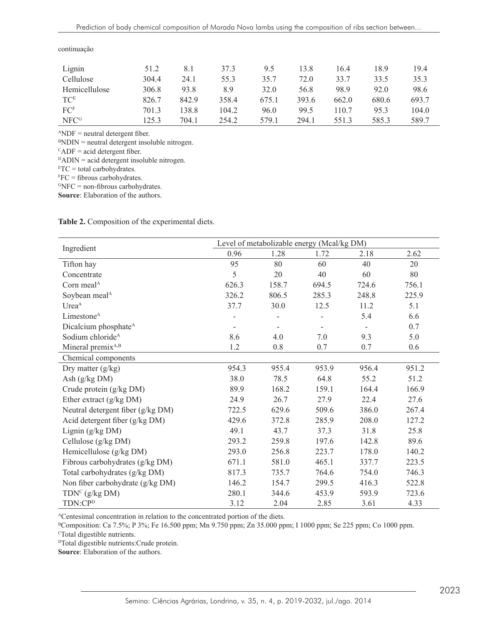| Lignin          | 51.2  | 8.1   | 37.3  | 9.5   | 13.8  | 16.4  | 18.9  | 19.4  |
|-----------------|-------|-------|-------|-------|-------|-------|-------|-------|
| Cellulose       | 304.4 | 24.1  | 55.3  | 35.7  | 72.0  | 33.7  | 33.5  | 35.3  |
| Hemicellulose   | 306.8 | 93.8  | 8.9   | 32.0  | 56.8  | 98.9  | 92.0  | 98.6  |
| <b>TCE</b>      | 826.7 | 842.9 | 358.4 | 675.1 | 393.6 | 662.0 | 680.6 | 693.7 |
| FC <sup>F</sup> | 701.3 | 138.8 | 104.2 | 96.0  | 99.5  | 110.7 | 95.3  | 104.0 |
| <b>NFCG</b>     | 125.3 | 704.1 | 254.2 | 579.1 | 294.1 | 551.3 | 585.3 | 589.7 |

continuação

 $^{\text{A}}$ NDF = neutral detergent fiber.

 $BNDIN$  = neutral detergent insoluble nitrogen.

 $C_{\text{ADF}}$  = acid detergent fiber.

 $DADIN = acid$  detergent insoluble nitrogen.

 $ETC = total carbohydrates.$ 

 $FFC = fibrous \ carbohydroductates.$ 

 $GNFC = non-fibrous\ carbohydrates.$ 

**Source**: Elaboration of the authors.

**Table 2.** Composition of the experimental diets.

|                                   | Level of metabolizable energy (Mcal/kg DM) |       |       |       |       |  |
|-----------------------------------|--------------------------------------------|-------|-------|-------|-------|--|
| Ingredient                        | 0.96                                       | 1.28  | 1.72  | 2.18  | 2.62  |  |
| Tifton hay                        | 95                                         | 80    | 60    | 40    | 20    |  |
| Concentrate                       | 5                                          | 20    | 40    | 60    | 80    |  |
| Corn meal <sup>A</sup>            | 626.3                                      | 158.7 | 694.5 | 724.6 | 756.1 |  |
| Soybean meal <sup>A</sup>         | 326.2                                      | 806.5 | 285.3 | 248.8 | 225.9 |  |
| Urea <sup>A</sup>                 | 37.7                                       | 30.0  | 12.5  | 11.2  | 5.1   |  |
| Limestone <sup>A</sup>            |                                            |       |       | 5.4   | 6.6   |  |
| Dicalcium phosphate <sup>A</sup>  |                                            |       |       |       | 0.7   |  |
| Sodium chloride <sup>A</sup>      | 8.6                                        | 4.0   | 7.0   | 9.3   | 5.0   |  |
| Mineral premix <sup>A,B</sup>     | 1.2                                        | 0.8   | 0.7   | 0.7   | 0.6   |  |
| Chemical components               |                                            |       |       |       |       |  |
| Dry matter $(g/kg)$               | 954.3                                      | 955.4 | 953.9 | 956.4 | 951.2 |  |
| Ash (g/kg DM)                     | 38.0                                       | 78.5  | 64.8  | 55.2  | 51.2  |  |
| Crude protein (g/kg DM)           | 89.9                                       | 168.2 | 159.1 | 164.4 | 166.9 |  |
| Ether extract $(g/kg DM)$         | 24.9                                       | 26.7  | 27.9  | 22.4  | 27.6  |  |
| Neutral detergent fiber (g/kg DM) | 722.5                                      | 629.6 | 509.6 | 386.0 | 267.4 |  |
| Acid detergent fiber (g/kg DM)    | 429.6                                      | 372.8 | 285.9 | 208.0 | 127.2 |  |
| Lignin $(g/kg DM)$                | 49.1                                       | 43.7  | 37.3  | 31.8  | 25.8  |  |
| Cellulose (g/kg DM)               | 293.2                                      | 259.8 | 197.6 | 142.8 | 89.6  |  |
| Hemicellulose (g/kg DM)           | 293.0                                      | 256.8 | 223.7 | 178.0 | 140.2 |  |
| Fibrous carbohydrates (g/kg DM)   | 671.1                                      | 581.0 | 465.1 | 337.7 | 223.5 |  |
| Total carbohydrates (g/kg DM)     | 817.3                                      | 735.7 | 764.6 | 754.0 | 746.3 |  |
| Non fiber carbohydrate (g/kg DM)  | 146.2                                      | 154.7 | 299.5 | 416.3 | 522.8 |  |
| TDN <sup>C</sup> (g/kg DM)        | 280.1                                      | 344.6 | 453.9 | 593.9 | 723.6 |  |
| TDN:CP <sup>D</sup>               | 3.12                                       | 2.04  | 2.85  | 3.61  | 4.33  |  |

ACentesimal concentration in relation to the concentrated portion of the diets.

<sup>B</sup>Composition: Ca 7.5%; P 3%; Fe 16.500 ppm; Mn 9.750 ppm; Zn 35.000 ppm; I 1000 ppm; Se 225 ppm; Co 1000 ppm.

<sup>c</sup>Total digestible nutrients.

<sup>D</sup>Total digestible nutrients:Crude protein.

**Source**: Elaboration of the authors.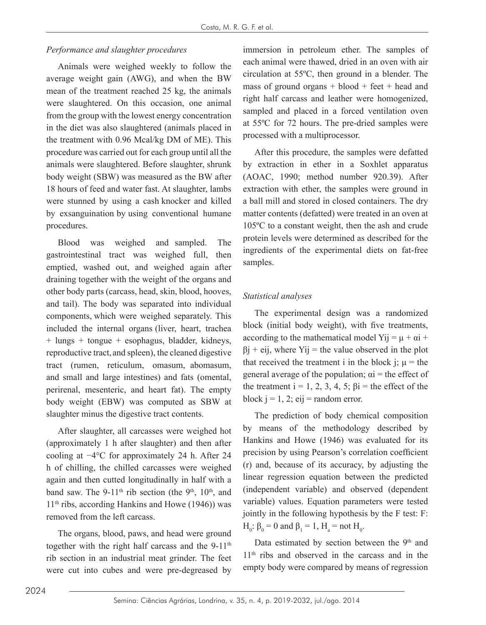### *Performance and slaughter procedures*

Animals were weighed weekly to follow the average weight gain (AWG), and when the BW mean of the treatment reached 25 kg, the animals were slaughtered. On this occasion, one animal from the group with the lowest energy concentration in the diet was also slaughtered (animals placed in the treatment with 0.96 Mcal/kg DM of ME). This procedure was carried out for each group until all the animals were slaughtered. Before slaughter, shrunk body weight (SBW) was measured as the BW after 18 hours of feed and water fast. At slaughter, lambs were stunned by using a cash knocker and killed by exsanguination by using conventional humane procedures.

Blood was weighed and sampled. The gastrointestinal tract was weighed full, then emptied, washed out, and weighed again after draining together with the weight of the organs and other body parts (carcass, head, skin, blood, hooves, and tail). The body was separated into individual components, which were weighed separately. This included the internal organs (liver, heart, trachea + lungs + tongue + esophagus, bladder, kidneys, reproductive tract, and spleen), the cleaned digestive tract (rumen, reticulum, omasum, abomasum, and small and large intestines) and fats (omental, perirenal, mesenteric, and heart fat). The empty body weight (EBW) was computed as SBW at slaughter minus the digestive tract contents.

After slaughter, all carcasses were weighed hot (approximately 1 h after slaughter) and then after cooling at −4°C for approximately 24 h. After 24 h of chilling, the chilled carcasses were weighed again and then cutted longitudinally in half with a band saw. The 9-11<sup>th</sup> rib section (the 9<sup>th</sup>, 10<sup>th</sup>, and  $11<sup>th</sup>$  ribs, according Hankins and Howe (1946)) was removed from the left carcass.

The organs, blood, paws, and head were ground together with the right half carcass and the  $9-11<sup>th</sup>$ rib section in an industrial meat grinder. The feet were cut into cubes and were pre-degreased by

immersion in petroleum ether. The samples of each animal were thawed, dried in an oven with air circulation at 55ºC, then ground in a blender. The mass of ground organs  $+$  blood  $+$  feet  $+$  head and right half carcass and leather were homogenized, sampled and placed in a forced ventilation oven at 55ºC for 72 hours. The pre-dried samples were processed with a multiprocessor.

After this procedure, the samples were defatted by extraction in ether in a Soxhlet apparatus (AOAC, 1990; method number 920.39). After extraction with ether, the samples were ground in a ball mill and stored in closed containers. The dry matter contents (defatted) were treated in an oven at 105ºC to a constant weight, then the ash and crude protein levels were determined as described for the ingredients of the experimental diets on fat-free samples.

## *Statistical analyses*

The experimental design was a randomized block (initial body weight), with five treatments, according to the mathematical model Yij =  $\mu + \alpha i +$  $\beta$ i + eij, where Yij = the value observed in the plot that received the treatment i in the block j;  $\mu$  = the general average of the population;  $\alpha i$  = the effect of the treatment  $i = 1, 2, 3, 4, 5$ ;  $\beta i =$  the effect of the block  $i = 1, 2$ ; eij = random error.

The prediction of body chemical composition by means of the methodology described by Hankins and Howe (1946) was evaluated for its precision by using Pearson's correlation coefficient (r) and, because of its accuracy, by adjusting the linear regression equation between the predicted (independent variable) and observed (dependent variable) values. Equation parameters were tested jointly in the following hypothesis by the F test: F:  $H_0$ : β<sub>0</sub> = 0 and β<sub>1</sub> = 1, H<sub>a</sub> = not H<sub>0</sub>.

Data estimated by section between the 9<sup>th</sup> and 11th ribs and observed in the carcass and in the empty body were compared by means of regression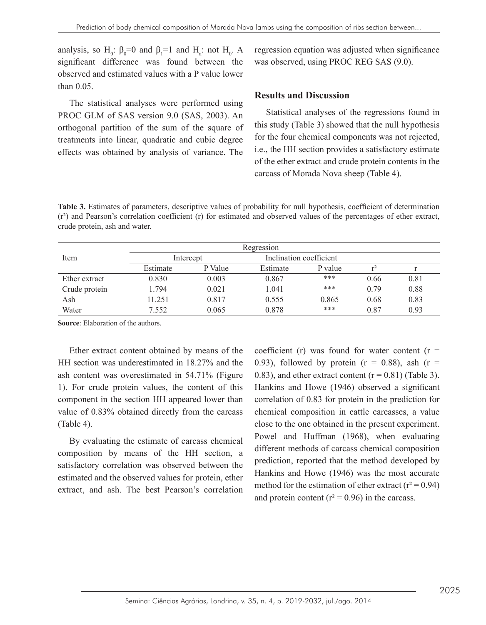analysis, so H<sub>0</sub>:  $\beta_0 = 0$  and  $\beta_1 = 1$  and H<sub>a</sub>: not H<sub>0</sub>. A significant difference was found between the observed and estimated values with a P value lower than 0.05.

The statistical analyses were performed using PROC GLM of SAS version 9.0 (SAS, 2003). An orthogonal partition of the sum of the square of treatments into linear, quadratic and cubic degree effects was obtained by analysis of variance. The regression equation was adjusted when significance was observed, using PROC REG SAS (9.0).

#### **Results and Discussion**

Statistical analyses of the regressions found in this study (Table 3) showed that the null hypothesis for the four chemical components was not rejected, i.e., the HH section provides a satisfactory estimate of the ether extract and crude protein contents in the carcass of Morada Nova sheep (Table 4).

**Table 3.** Estimates of parameters, descriptive values of probability for null hypothesis, coefficient of determination  $(r^2)$  and Pearson's correlation coefficient (r) for estimated and observed values of the percentages of ether extract, crude protein, ash and water.

|               |          |           | Regression              |         |      |      |
|---------------|----------|-----------|-------------------------|---------|------|------|
| Item          |          | Intercept | Inclination coefficient |         |      |      |
|               | Estimate | P Value   | Estimate                | P value |      |      |
| Ether extract | 0.830    | 0.003     | 0.867                   | ***     | 0.66 | 0.81 |
| Crude protein | .794     | 0.021     | 1.041                   | ***     | 0.79 | 0.88 |
| Ash           | 11.251   | 0.817     | 0.555                   | 0.865   | 0.68 | 0.83 |
| Water         | 7.552    | 0.065     | 0.878                   | ***     | 0.87 | 0.93 |

**Source**: Elaboration of the authors.

Ether extract content obtained by means of the HH section was underestimated in 18.27% and the ash content was overestimated in 54.71% (Figure 1). For crude protein values, the content of this component in the section HH appeared lower than value of 0.83% obtained directly from the carcass (Table 4).

By evaluating the estimate of carcass chemical composition by means of the HH section, a satisfactory correlation was observed between the estimated and the observed values for protein, ether extract, and ash. The best Pearson's correlation coefficient (r) was found for water content ( $r =$ 0.93), followed by protein  $(r = 0.88)$ , ash  $(r = 0.93)$ 0.83), and ether extract content  $(r = 0.81)$  (Table 3). Hankins and Howe (1946) observed a significant correlation of 0.83 for protein in the prediction for chemical composition in cattle carcasses, a value close to the one obtained in the present experiment. Powel and Huffman (1968), when evaluating different methods of carcass chemical composition prediction, reported that the method developed by Hankins and Howe (1946) was the most accurate method for the estimation of ether extract ( $r^2 = 0.94$ ) and protein content ( $r^2$  = 0.96) in the carcass.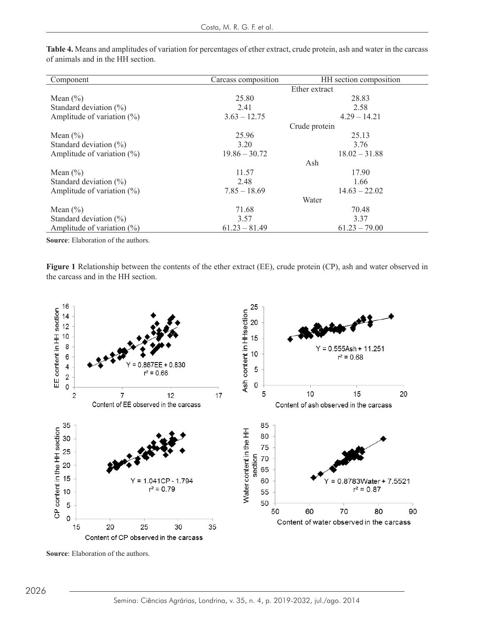| Component                      | Carcass composition | HH section composition |
|--------------------------------|---------------------|------------------------|
|                                |                     | Ether extract          |
| Mean $(\% )$                   | 25.80               | 28.83                  |
| Standard deviation $(\%)$      | 2.41                | 2.58                   |
| Amplitude of variation $(\% )$ | $3.63 - 12.75$      | $4.29 - 14.21$         |
|                                |                     | Crude protein          |
| Mean $(\% )$                   | 25.96               | 25.13                  |
| Standard deviation $(\%)$      | 3.20                | 3.76                   |
| Amplitude of variation $(\%)$  | $19.86 - 30.72$     | $18.02 - 31.88$        |
|                                |                     | Ash                    |
| Mean $(\% )$                   | 11.57               | 17.90                  |
| Standard deviation $(\%)$      | 2.48                | 1.66                   |
| Amplitude of variation $(\%)$  | $7.85 - 18.69$      | $14.63 - 22.02$        |
|                                |                     | Water                  |
| Mean $(\% )$                   | 71.68               | 70.48                  |
| Standard deviation $(\%)$      | 3.57                | 3.37                   |
| Amplitude of variation $(\%)$  | $61.23 - 81.49$     | $61.23 - 79.00$        |
|                                |                     |                        |

**Table 4.** Means and amplitudes of variation for percentages of ether extract, crude protein, ash and water in the carcass of animals and in the HH section.

**Source**: Elaboration of the authors.

**Figure 1** Relationship between the contents of the ether extract (EE), crude protein (CP), ash and water observed in the carcass and in the HH section.



**Source:** Elaboration of the authors.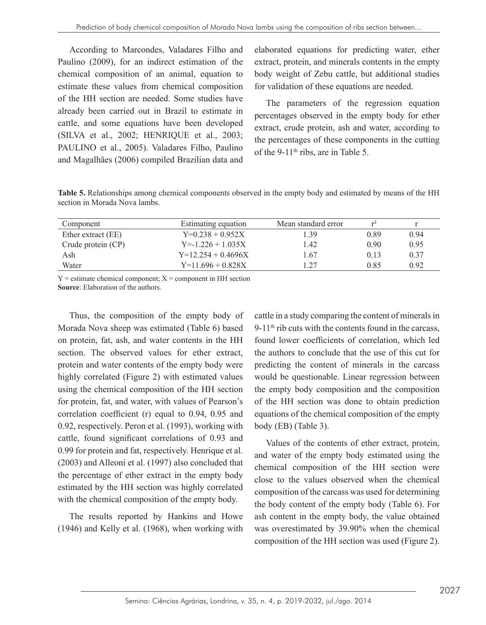According to Marcondes, Valadares Filho and Paulino (2009), for an indirect estimation of the chemical composition of an animal, equation to estimate these values from chemical composition of the HH section are needed. Some studies have already been carried out in Brazil to estimate in cattle, and some equations have been developed (SILVA et al., 2002; HENRIQUE et al., 2003; PAULINO et al., 2005). Valadares Filho, Paulino and Magalhães (2006) compiled Brazilian data and elaborated equations for predicting water, ether extract, protein, and minerals contents in the empty body weight of Zebu cattle, but additional studies for validation of these equations are needed.

The parameters of the regression equation percentages observed in the empty body for ether extract, crude protein, ash and water, according to the percentages of these components in the cutting of the 9-11<sup>th</sup> ribs, are in Table 5.

**Table 5.** Relationships among chemical components observed in the empty body and estimated by means of the HH section in Morada Nova lambs.

| Component          | Estimating equation  | Mean standard error |      |      |
|--------------------|----------------------|---------------------|------|------|
| Ether extract (EE) | $Y=0.238 + 0.952X$   | 1.39                | 0.89 | 0.94 |
| Crude protein (CP) | $Y = 1.226 + 1.035X$ | 1.42                | 0.90 | 0.95 |
| Ash                | $Y=12.254 + 0.4696X$ | 1.67                | 0.13 | 0.37 |
| Water              | $Y=11.696 + 0.828X$  | .27                 | 0.85 | 0.92 |

 $Y =$  estimate chemical component;  $X =$  component in HH section **Source**: Elaboration of the authors.

Thus, the composition of the empty body of Morada Nova sheep was estimated (Table 6) based on protein, fat, ash, and water contents in the HH section. The observed values for ether extract, protein and water contents of the empty body were highly correlated (Figure 2) with estimated values using the chemical composition of the HH section for protein, fat, and water, with values of Pearson's correlation coefficient (r) equal to 0.94, 0.95 and 0.92, respectively. Peron et al. (1993), working with cattle, found significant correlations of 0.93 and 0.99 for protein and fat, respectively. Henrique et al. (2003) and Alleoni et al. (1997) also concluded that the percentage of ether extract in the empty body estimated by the HH section was highly correlated with the chemical composition of the empty body.

The results reported by Hankins and Howe (1946) and Kelly et al. (1968), when working with cattle in a study comparing the content of minerals in 9-11<sup>th</sup> rib cuts with the contents found in the carcass. found lower coefficients of correlation, which led the authors to conclude that the use of this cut for predicting the content of minerals in the carcass would be questionable. Linear regression between the empty body composition and the composition of the HH section was done to obtain prediction equations of the chemical composition of the empty body (EB) (Table 3).

Values of the contents of ether extract, protein, and water of the empty body estimated using the chemical composition of the HH section were close to the values observed when the chemical composition of the carcass was used for determining the body content of the empty body (Table 6). For ash content in the empty body, the value obtained was overestimated by 39.90% when the chemical composition of the HH section was used (Figure 2).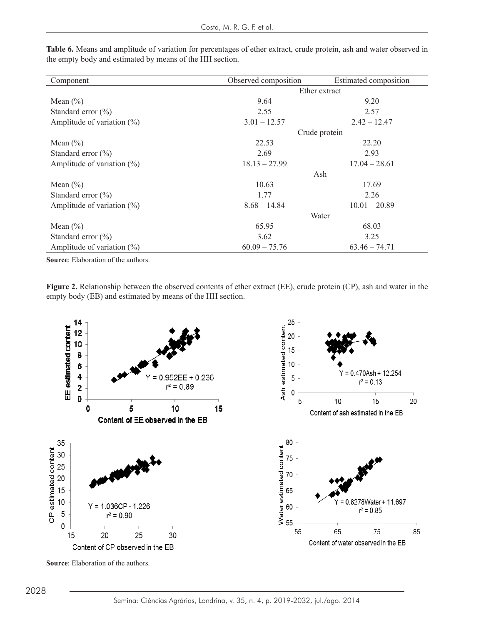| Component                      | Observed composition | Estimated composition |  |  |
|--------------------------------|----------------------|-----------------------|--|--|
|                                | Ether extract        |                       |  |  |
| Mean $(\% )$                   | 9.64                 | 9.20                  |  |  |
| Standard error $(\% )$         | 2.55                 | 2.57                  |  |  |
| Amplitude of variation $(\%)$  | $3.01 - 12.57$       | $2.42 - 12.47$        |  |  |
|                                |                      | Crude protein         |  |  |
| Mean $(\% )$                   | 22.53                | 22.20                 |  |  |
| Standard error $(\% )$         | 2.69                 | 2.93                  |  |  |
| Amplitude of variation $(\%)$  | $18.13 - 27.99$      | $17.04 - 28.61$       |  |  |
|                                | Ash                  |                       |  |  |
| Mean $(\% )$                   | 10.63                | 17.69                 |  |  |
| Standard error (%)             | 1.77                 | 2.26                  |  |  |
| Amplitude of variation $(\%)$  | $8.68 - 14.84$       | $10.01 - 20.89$       |  |  |
|                                | Water                |                       |  |  |
| Mean $(\% )$                   | 65.95                | 68.03                 |  |  |
| Standard error $(\% )$         | 3.62                 | 3.25                  |  |  |
| Amplitude of variation $(\% )$ | $60.09 - 75.76$      | $63.46 - 74.71$       |  |  |

**Table 6.** Means and amplitude of variation for percentages of ether extract, crude protein, ash and water observed in the empty body and estimated by means of the HH section.

**Source**: Elaboration of the authors.

Figure 2. Relationship between the observed contents of ether extract (EE), crude protein (CP), ash and water in the empty body (EB) and estimated by means of the HH section.



**Source**: Elaboration of the authors.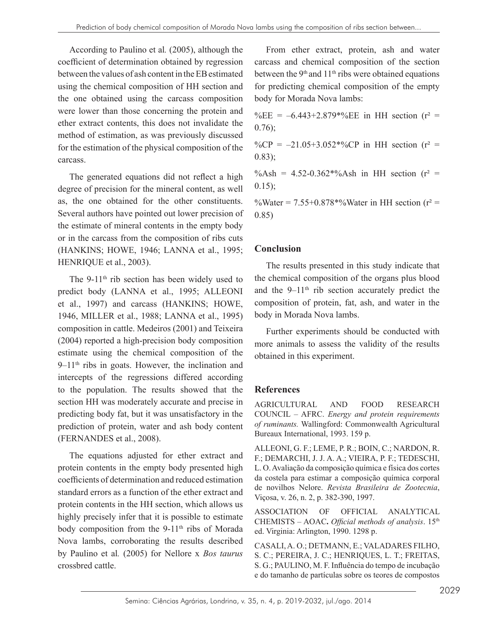According to Paulino et al*.* (2005), although the coefficient of determination obtained by regression between the values of ash content in the EB estimated using the chemical composition of HH section and the one obtained using the carcass composition were lower than those concerning the protein and ether extract contents, this does not invalidate the method of estimation, as was previously discussed for the estimation of the physical composition of the carcass.

The generated equations did not reflect a high degree of precision for the mineral content, as well as, the one obtained for the other constituents. Several authors have pointed out lower precision of the estimate of mineral contents in the empty body or in the carcass from the composition of ribs cuts (HANKINS; HOWE, 1946; LANNA et al., 1995; HENRIQUE et al., 2003).

The 9-11<sup>th</sup> rib section has been widely used to predict body (LANNA et al., 1995; ALLEONI et al., 1997) and carcass (HANKINS; HOWE, 1946, MILLER et al., 1988; LANNA et al., 1995) composition in cattle. Medeiros (2001) and Teixeira (2004) reported a high-precision body composition estimate using the chemical composition of the  $9-11<sup>th</sup>$  ribs in goats. However, the inclination and intercepts of the regressions differed according to the population. The results showed that the section HH was moderately accurate and precise in predicting body fat, but it was unsatisfactory in the prediction of protein, water and ash body content (FERNANDES et al., 2008).

The equations adjusted for ether extract and protein contents in the empty body presented high coefficients of determination and reduced estimation standard errors as a function of the ether extract and protein contents in the HH section, which allows us highly precisely infer that it is possible to estimate body composition from the 9-11<sup>th</sup> ribs of Morada Nova lambs, corroborating the results described by Paulino et al*.* (2005) for Nellore x *Bos taurus* crossbred cattle.

From ether extract, protein, ash and water carcass and chemical composition of the section between the  $9<sup>th</sup>$  and  $11<sup>th</sup>$  ribs were obtained equations for predicting chemical composition of the empty body for Morada Nova lambs:

%EE =  $-6.443+2.879*%$ EE in HH section (r<sup>2</sup> = 0.76);

%CP =  $-21.05+3.052*%$ CP in HH section (r<sup>2</sup> = 0.83);

%Ash =  $4.52 - 0.362*$ %Ash in HH section ( $r^2$  = 0.15);

%Water =  $7.55 + 0.878$  %Water in HH section ( $r^2$  = 0.85)

# **Conclusion**

The results presented in this study indicate that the chemical composition of the organs plus blood and the  $9-11<sup>th</sup>$  rib section accurately predict the composition of protein, fat, ash, and water in the body in Morada Nova lambs.

Further experiments should be conducted with more animals to assess the validity of the results obtained in this experiment.

## **References**

AGRICULTURAL AND FOOD RESEARCH COUNCIL – AFRC. *Energy and protein requirements of ruminants.* Wallingford: Commonwealth Agricultural Bureaux International, 1993. 159 p.

ALLEONI, G. F.; LEME, P. R.; BOIN, C.; NARDON, R. F.; DEMARCHI, J. J. A. A.; VIEIRA, P. F.; TEDESCHI, L. O. Avaliação da composição química e física dos cortes da costela para estimar a composição química corporal de novilhos Nelore. *Revista Brasileira de Zootecnia*, Viçosa, v. 26, n. 2, p. 382-390, 1997.

ASSOCIATION OF OFFICIAL ANALYTICAL CHEMISTS – AOAC**.** *Official methods of analysis*. 15th ed. Virginia: Arlington, 1990. 1298 p.

CASALI, A. O.; DETMANN, E.; VALADARES FILHO, S. C.; PEREIRA, J. C.; HENRIQUES, L. T.; FREITAS, S. G.; PAULINO, M. F. Influência do tempo de incubação e do tamanho de partículas sobre os teores de compostos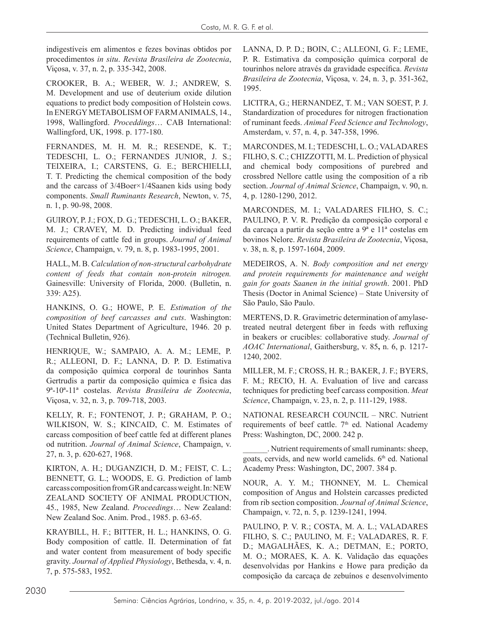indigestíveis em alimentos e fezes bovinas obtidos por procedimentos *in situ*. *Revista Brasileira de Zootecnia*, Viçosa, v. 37, n. 2, p. 335-342, 2008.

CROOKER, B. A.; WEBER, W. J.; ANDREW, S. M. Development and use of deuterium oxide dilution equations to predict body composition of Holstein cows. In ENERGY METABOLISM OF FARM ANIMALS, 14., 1998, Wallingford. *Proceddings*… CAB International: Wallingford, UK, 1998. p. 177-180.

FERNANDES, M. H. M. R.; RESENDE, K. T.; TEDESCHI, L. O.; FERNANDES JUNIOR, J. S.; TEIXEIRA, I.; CARSTENS, G. E.; BERCHIELLI, T. T. Predicting the chemical composition of the body and the carcass of 3/4Boer×1/4Saanen kids using body components. *Small Ruminants Research*, Newton, v. 75, n. 1, p. 90-98, 2008.

GUIROY, P. J.; FOX, D. G.; TEDESCHI, L. O.; BAKER, M. J.; CRAVEY, M. D. Predicting individual feed requirements of cattle fed in groups. *Journal of Animal Science*, Champaign, v. 79, n. 8, p. 1983-1995, 2001.

HALL, M. B. *Calculation of non-structural carbohydrate content of feeds that contain non-protein nitrogen.* Gainesville: University of Florida, 2000. (Bulletin, n. 339: A25).

HANKINS, O. G.; HOWE, P. E. *Estimation of the composition of beef carcasses and cuts*. Washington: United States Department of Agriculture, 1946. 20 p. (Technical Bulletin, 926).

HENRIQUE, W.; SAMPAIO, A. A. M.; LEME, P. R.; ALLEONI, D. F.; LANNA, D. P. D. Estimativa da composição química corporal de tourinhos Santa Gertrudis a partir da composição química e física das 9ª-10ª-11ª costelas. *Revista Brasileira de Zootecnia*, Viçosa, v. 32, n. 3, p. 709-718, 2003.

KELLY, R. F.; FONTENOT, J. P.; GRAHAM, P. O.; WILKISON, W. S.; KINCAID, C. M. Estimates of carcass composition of beef cattle fed at different planes od nutrition. *Journal of Animal Science*, Champaign, v. 27, n. 3, p. 620-627, 1968.

KIRTON, A. H.; DUGANZICH, D. M.; FEIST, C. L.; BENNETT, G. L.; WOODS, E. G. Prediction of lamb carcass composition from GR and carcass weight. In: NEW ZEALAND SOCIETY OF ANIMAL PRODUCTION, 45., 1985, New Zealand. *Proceedings*… New Zealand: New Zealand Soc. Anim. Prod., 1985. p. 63-65.

KRAYBILL, H. F.; BITTER, H. L.; HANKINS, O. G. Body composition of cattle. II. Determination of fat and water content from measurement of body specific gravity. *Journal of Applied Physiology*, Bethesda, v. 4, n. 7, p. 575-583, 1952.

LANNA, D. P. D.; BOIN, C.; ALLEONI, G. F.; LEME, P. R. Estimativa da composição química corporal de tourinhos nelore através da gravidade específica. *Revista Brasileira de Zootecnia*, Viçosa, v. 24, n. 3, p. 351-362, 1995.

LICITRA, G.; HERNANDEZ, T. M.; VAN SOEST, P. J. Standardization of procedures for nitrogen fractionation of ruminant feeds. *Animal Feed Science and Technology*, Amsterdam, v. 57, n. 4, p. 347-358, 1996.

MARCONDES, M. I.; TEDESCHI, L. O.; VALADARES FILHO, S. C.; CHIZZOTTI, M. L. Prediction of physical and chemical body compositions of purebred and crossbred Nellore cattle using the composition of a rib section. *Journal of Animal Science*, Champaign, v. 90, n. 4, p. 1280-1290, 2012.

MARCONDES, M. I.; VALADARES FILHO, S. C.; PAULINO, P. V. R. Predição da composição corporal e da carcaça a partir da seção entre a 9ª e 11ª costelas em bovinos Nelore. *Revista Brasileira de Zootecnia*, Viçosa, v. 38, n. 8, p. 1597-1604, 2009.

MEDEIROS, A. N. *Body composition and net energy and protein requirements for maintenance and weight gain for goats Saanen in the initial growth*. 2001. PhD Thesis (Doctor in Animal Science) – State University of São Paulo, São Paulo.

MERTENS, D. R. Gravimetric determination of amylasetreated neutral detergent fiber in feeds with refluxing in beakers or crucibles: collaborative study. *Journal of AOAC International*, Gaithersburg, v. 85**,** n. 6, p. 1217- 1240, 2002.

MILLER, M. F.; CROSS, H. R.; BAKER, J. F.; BYERS, F. M.; RECIO, H. A. Evaluation of live and carcass techniques for predicting beef carcass composition. *Meat Science*, Champaign, v. 23, n. 2, p. 111-129, 1988.

NATIONAL RESEARCH COUNCIL – NRC. Nutrient requirements of beef cattle. 7<sup>th</sup> ed. National Academy Press: Washington, DC, 2000. 242 p.

\_\_\_\_\_\_. Nutrient requirements of small ruminants: sheep, goats, cervids, and new world camelids. 6<sup>th</sup> ed. National Academy Press: Washington, DC, 2007. 384 p.

NOUR, A. Y. M.; THONNEY, M. L. Chemical composition of Angus and Holstein carcasses predicted from rib section composition. *Journal of Animal Science*, Champaign, v. 72, n. 5, p. 1239-1241, 1994.

PAULINO, P. V. R.; COSTA, M. A. L.; VALADARES FILHO, S. C.; PAULINO, M. F.; VALADARES, R. F. D.; MAGALHÃES, K. A.; DETMAN, E.; PORTO, M. O.; MORAES, K. A. K. Validação das equações desenvolvidas por Hankins e Howe para predição da composição da carcaça de zebuínos e desenvolvimento